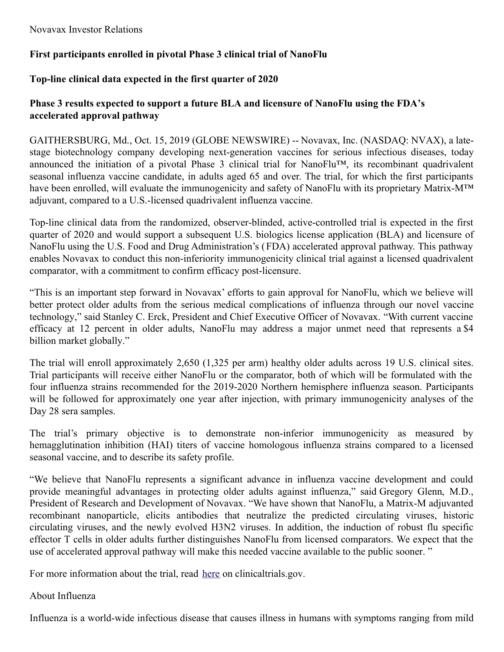# **First participants enrolled in pivotal Phase 3 clinical trial of NanoFlu**

# **Top-line clinical data expected in the first quarter of 2020**

## **Phase 3 results expected to support a future BLA and licensure of NanoFlu using the FDA's accelerated approval pathway**

GAITHERSBURG, Md., Oct. 15, 2019 (GLOBE NEWSWIRE) -- Novavax, Inc. (NASDAQ: NVAX), a latestage biotechnology company developing next-generation vaccines for serious infectious diseases, today announced the initiation of a pivotal Phase 3 clinical trial for NanoFlu™, its recombinant quadrivalent seasonal influenza vaccine candidate, in adults aged 65 and over. The trial, for which the first participants have been enrolled, will evaluate the immunogenicity and safety of NanoFlu with its proprietary Matrix-M<sup>™</sup> adjuvant, compared to a U.S.-licensed quadrivalent influenza vaccine.

Top-line clinical data from the randomized, observer-blinded, active-controlled trial is expected in the first quarter of 2020 and would support a subsequent U.S. biologics license application (BLA) and licensure of NanoFlu using the U.S. Food and Drug Administration's (FDA) accelerated approval pathway. This pathway enables Novavax to conduct this non-inferiority immunogenicity clinical trial against a licensed quadrivalent comparator, with a commitment to confirm efficacy post-licensure.

"This is an important step forward in Novavax' efforts to gain approval for NanoFlu, which we believe will better protect older adults from the serious medical complications of influenza through our novel vaccine technology," said Stanley C. Erck, President and Chief Executive Officer of Novavax. "With current vaccine efficacy at 12 percent in older adults, NanoFlu may address a major unmet need that represents a \$4 billion market globally."

The trial will enroll approximately 2,650 (1,325 per arm) healthy older adults across 19 U.S. clinical sites. Trial participants will receive either NanoFlu or the comparator, both of which will be formulated with the four influenza strains recommended for the 2019-2020 Northern hemisphere influenza season. Participants will be followed for approximately one year after injection, with primary immunogenicity analyses of the Day 28 sera samples.

The trial's primary objective is to demonstrate non-inferior immunogenicity as measured by hemagglutination inhibition (HAI) titers of vaccine homologous influenza strains compared to a licensed seasonal vaccine, and to describe its safety profile.

"We believe that NanoFlu represents a significant advance in influenza vaccine development and could provide meaningful advantages in protecting older adults against influenza," said Gregory Glenn, M.D., President of Research and Development of Novavax. "We have shown that NanoFlu, a Matrix-M adjuvanted recombinant nanoparticle, elicits antibodies that neutralize the predicted circulating viruses, historic circulating viruses, and the newly evolved H3N2 viruses. In addition, the induction of robust flu specific effector T cells in older adults further distinguishes NanoFlu from licensed comparators. We expect that the use of accelerated approval pathway will make this needed vaccine available to the public sooner. "

For more information about the trial, read [here](https://www.globenewswire.com/Tracker?data=TMqf3OY5m7VEJo0eNpmjwWkN7lJReaUWE6qcz5Jpr4n1gKFXv0d_GATMIgB7U_Qkgbgo1C88kgLFbM5P3rS1Ih4oEl_r_SxEuc5MEHbGSwtgWVFXe-Ly7LxXfxTs_o-_kQgz2MDpcynDU0vbJRny8w==) on clinicaltrials.gov.

#### About Influenza

Influenza is a world-wide infectious disease that causes illness in humans with symptoms ranging from mild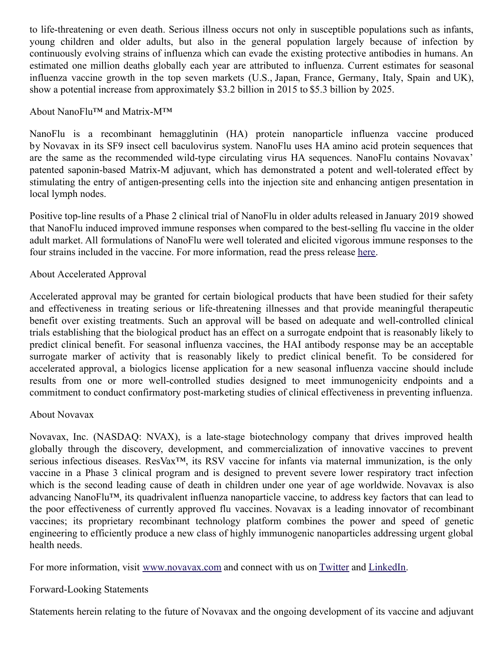to life-threatening or even death. Serious illness occurs not only in susceptible populations such as infants, young children and older adults, but also in the general population largely because of infection by continuously evolving strains of influenza which can evade the existing protective antibodies in humans. An estimated one million deaths globally each year are attributed to influenza. Current estimates for seasonal influenza vaccine growth in the top seven markets (U.S., Japan, France, Germany, Italy, Spain and UK), show a potential increase from approximately \$3.2 billion in 2015 to \$5.3 billion by 2025.

### About NanoFlu™ and Matrix-M™

NanoFlu is a recombinant hemagglutinin (HA) protein nanoparticle influenza vaccine produced by Novavax in its SF9 insect cell baculovirus system. NanoFlu uses HA amino acid protein sequences that are the same as the recommended wild-type circulating virus HA sequences. NanoFlu contains Novavax' patented saponin-based Matrix-M adjuvant, which has demonstrated a potent and well-tolerated effect by stimulating the entry of antigen-presenting cells into the injection site and enhancing antigen presentation in local lymph nodes.

Positive top-line results of a Phase 2 clinical trial of NanoFlu in older adults released in January 2019 showed that NanoFlu induced improved immune responses when compared to the best-selling flu vaccine in the older adult market. All formulations of NanoFlu were well tolerated and elicited vigorous immune responses to the four strains included in the vaccine. For more information, read the press release [here](https://www.globenewswire.com/Tracker?data=wGffPEtVgCw6xi5K6xzifChBNYdM9sxlGY3CkboaL7VmYp7BuqxwvBU8efdUh8K5wQZnbzF4mHfYLTpHxgPEbdkEoFNZmuwYHTJH_qn-xm2Sbvl1PIolrMcGFvFb3jLzxsR5HnCSIo6idKFatLq7igILvX0gmKGP12xhCS54DDMLqrCANV7AvkphESnJAJE6WLU55G-31Rtt_UwaFfZWrw==).

### About Accelerated Approval

Accelerated approval may be granted for certain biological products that have been studied for their safety and effectiveness in treating serious or life-threatening illnesses and that provide meaningful therapeutic benefit over existing treatments. Such an approval will be based on adequate and well-controlled clinical trials establishing that the biological product has an effect on a surrogate endpoint that is reasonably likely to predict clinical benefit. For seasonal influenza vaccines, the HAI antibody response may be an acceptable surrogate marker of activity that is reasonably likely to predict clinical benefit. To be considered for accelerated approval, a biologics license application for a new seasonal influenza vaccine should include results from one or more well-controlled studies designed to meet immunogenicity endpoints and a commitment to conduct confirmatory post-marketing studies of clinical effectiveness in preventing influenza.

#### About Novavax

Novavax, Inc. (NASDAQ: NVAX), is a late-stage biotechnology company that drives improved health globally through the discovery, development, and commercialization of innovative vaccines to prevent serious infectious diseases. ResVax<sup>™</sup>, its RSV vaccine for infants via maternal immunization, is the only vaccine in a Phase 3 clinical program and is designed to prevent severe lower respiratory tract infection which is the second leading cause of death in children under one year of age worldwide. Novavax is also advancing NanoFlu™, its quadrivalent influenza nanoparticle vaccine, to address key factors that can lead to the poor effectiveness of currently approved flu vaccines. Novavax is a leading innovator of recombinant vaccines; its proprietary recombinant technology platform combines the power and speed of genetic engineering to efficiently produce a new class of highly immunogenic nanoparticles addressing urgent global health needs.

For more information, visit [www.novavax.com](https://www.globenewswire.com/Tracker?data=jhvsqp4wkaC8ATvi_3Ow2A-cB2Mth19bDXHAB6pyLz4UhmFNPHH2cA-2x8XfxR60iZpqc9cRr0kbUO05itXGuw==) and connect with us on [Twitter](https://www.globenewswire.com/Tracker?data=whzLcetFHA8EYr5rNrRc7OLqqJ397mKh56XjWUhqKucw-qUO7QeWGV-kLiyqYU1Fe5E29E1cE0VGiw9-Ikb3ww==) and [LinkedIn](https://www.globenewswire.com/Tracker?data=SZt3EDRUs-S5dGZSRK5-kicClH3UAWkU_I0Q3wCl9H2IGlx-1I4or0YmUaOXF_mWDhTtUPQiLk81jG4tCsZqxTs_bfQk22ZpYIumY8dPbN0=).

# Forward-Looking Statements

Statements herein relating to the future of Novavax and the ongoing development of its vaccine and adjuvant